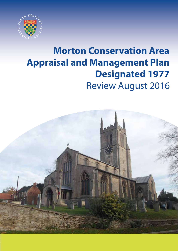

# Review August 2016 **Morton Conservation Area Appraisal and Management Plan Designated 1977**

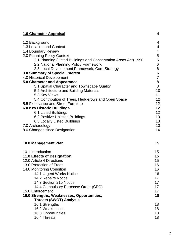| 1.0 Character Appraisal                                         | $\overline{4}$  |
|-----------------------------------------------------------------|-----------------|
| 1.2 Background                                                  | 4               |
| 1.3 Location and Context                                        | $\overline{4}$  |
| 1.4 Boundary Review                                             | 4               |
| 2.0 Planning Policy Context                                     | 5               |
| 2.1 Planning (Listed Buildings and Conservation Areas Act) 1990 | 5               |
| 2.2 National Planning Policy Framework                          | 6               |
| 2.3 Local Development Framework, Core Strategy                  | 6               |
| 3.0 Summary of Special Interest                                 | 6               |
| 4.0 Historical Development                                      | $\overline{7}$  |
| 5.0 Character and Appearance                                    | 8               |
| 5.1 Spatial Character and Townscape Quality                     | 8<br>10         |
| 5.2 Architecture and Building Materials<br>5.3 Key Views        | 11              |
| 5.4 Contribution of Trees, Hedgerows and Open Space             | 12              |
| 5.5 Floorscape and Street Furniture                             | 12              |
| <b>6.0 Key Historic Buildings</b>                               | 12              |
| 6.1 Listed Buildings                                            | 12              |
| 6.2 Positive Unlisted Buildings                                 | 13              |
| 6.3 Locally Listed Buildings                                    | 13              |
| 7.0 Archaeology                                                 | 13              |
| 8.0 Changes since Designation                                   | 14              |
|                                                                 |                 |
| 10.0 Management Plan                                            | 15              |
| 10.1 Introduction                                               | 15 <sub>1</sub> |
| 11.0 Effects of Designation                                     | 15              |
| 12.0 Article 4 Directions                                       | 15 <sub>2</sub> |
| 13.0 Protection of Trees                                        | 16              |
| 14.0 Monitoring Condition                                       | 16              |
| 14.1 Urgent Works Notice                                        | 16              |
| 14.2 Repairs Notice                                             | 17              |
| 14.3 Section 215 Notice                                         | 17<br>17        |
| 14.4 Compulsory Purchase Order (CPO)<br>15.0 Enforcement        | 17              |
| 16.0 Strengths, Weaknesses, Opportunities,                      | 18              |
| <b>Threats (SWOT) Analysis</b>                                  |                 |
| 16.1 Strengths                                                  | 18              |
| 16.2 Weaknesses                                                 | 18              |
| 16.3 Opportunities                                              | 18              |
| 16.4 Threats                                                    | 18              |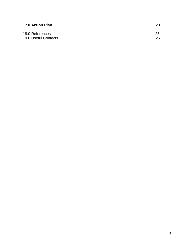| 17.0 Action Plan     | 20 |
|----------------------|----|
| 18.0 References      | 25 |
| 19.0 Useful Contacts | 25 |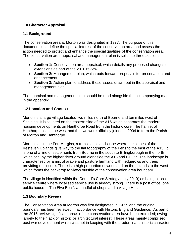## **1.0 Character Appraisal**

## **1.1 Background**

The conservation area at Morton was designated in 1977. The purpose of this document is to define the special interest of the conservation area and assess the action needed to protect and enhance the special qualities of the conservation area. The conservation area appraisal and management plan is split into three sections:

- **Section 1:** Conservation area appraisal, which details any proposed changes or extensions as part of the 2016 review.
- **Section 2:** Management plan, which puts forward proposals for preservation and enhancement.
- **Section 3:** Action plan to address those issues drawn out in the appraisal and management plan.

The appraisal and management plan should be read alongside the accompanying map in the appendix.

# **1.2 Location and Context**

Morton is a large village located two miles north of Bourne and ten miles west of Spalding. It is situated on the eastern side of the A15 which separates the modern housing developments on Hanthorpe Road from the historic core. The hamlet of Hanthorpe lies to the west and the two were officially joined in 2004 to form the Parish of Morton and Hanthorpe.

Morton lies in the Fen Margins, a transitional landscape where the slopes of the Kesteven Uplands give way to the flat topography of the Fens to the east of the A15. It is one of a line of settlements from Bourne in the south to Billingborough in the north which occupy the higher dryer ground alongside the A15 and B1177. The landscape is characterised by a mix of arable and pasture farmland with hedgerows and trees providing enclosure. There is a high proportion of woodland on the uplands to the west which forms the backdrop to views outside of the conservation area boundary.

The village is identified within the Council"s Core Strategy (July 2010) as being a local service centre where localised service use is already strong. There is a post office, one public house – "The Five Bells", a handful of shops and a village Hall.

## **1.3 Boundary Review**

The Conservation Area at Morton was first designated in 1977, and the original boundary has been reviewed in accordance with Historic England Guidance. As part of the 2016 review significant areas of the conservation area have been excluded; owing largely to their lack of historic or architectural interest. These areas mainly comprised post war development which was not in keeping with the predominant historic character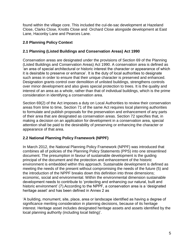found within the village core. This included the cul-de-sac development at Hazeland Close, Clarks Close, Knotts Close and Orchard Close alongside development at East Lane, Haconby Lane and Pearces Lane.

## **2.0 Planning Policy Context**

## **2.1 Planning (Listed Buildings and Conservation Areas) Act 1990**

Conservation areas are designated under the provisions of Section 69 of the Planning (Listed Buildings and Conservation Areas) Act 1990. A conservation area is defined as "an area of special architectural or historic interest the character or appearance of which it is desirable to preserve or enhance". It is the duty of local authorities to designate such areas in order to ensure that their unique character is preserved and enhanced. Designation grants control over demolition of unlisted buildings, strengthens controls over minor development and also gives special protection to trees. It is the quality and interest of an area as a whole, rather than that of individual buildings, which is the prime consideration in identifying a conservation area.

Section 69(2) of the Act imposes a duty on Local Authorities to review their conservation areas from time to time, Section 71 of the same Act requires local planning authorities to formulate and publish proposals for the preservation and enhancement of any parts of their area that are designated as conservation areas. Section 72 specifies that, in making a decision on an application for development in a conservation area, special attention shall be paid to the desirability of preserving or enhancing the character or appearance of that area.

## **2.2 National Planning Policy Framework (NPPF)**

In March 2012, the National Planning Policy Framework (NPPF) was introduced that combines all of policies of the Planning Policy Statements (PPS) into one streamlined document. The presumption in favour of sustainable development is the guiding principal of the document and the protection and enhancement of the historic environment is embedded within this approach. Sustainable development is defined as meeting the needs of the present without compromising the needs of the future (5) and the introduction of the NPPF breaks down this definition into three dimensions; economic, social and environmental. Within the environmental dimension sustainable development needs to contribute to "protecting and enhancing our natural, built and historic environment' (7). According to the NPPF, a conservation area is a 'designated heritage asset' and has been defined in Annex 2 as

"A building, monument, site, place, area or landscape identified as having a degree of significance meriting consideration in planning decisions, because of its heritage interest. Heritage asset includes designated heritage assets and assets identified by the local planning authority (including local listing)'.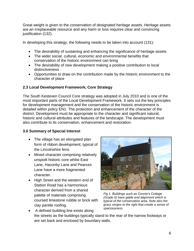Great weight is given to the conservation of designated heritage assets. Heritage assets are an irreplaceable resource and any harm or loss requires clear and convincing justification (132).

In developing this strategy, the following needs to be taken into account (131):

- The desirability of sustaining and enhancing the significance of heritage assets
- The wider social, cultural, economic and environmental benefits that conservation of the historic environment can bring
- The desirability of new development making a positive contribution to local distinctiveness
- Opportunities to draw on the contribution made by the historic environment to the character of place

# **2.3 Local Development Framework, Core Strategy**

The South Kesteven Council Core strategy was adopted in July 2010 and is one of the most important parts of the Local Development Framework. It sets out the key principles for development management and the conservation of the historic environment is detailed within policy EN1: The protection and enhancement of the character of the district. Development must be appropriate to the character and significant natural, historic and cultural attributes and features of the landscape. The development must also contribute to its conservation, enhancement and restoration.

# **3.0 Summary of Special Interest**

- The village has an elongated plan form of ribbon development, typical of the Lincolnshire fens.
- Mixed character comprising relatively unspoilt historic core whilst East Lane, Haconby Lane and Pearces Lane have a more fragmented character.
- High Street and the western end of Station Road has a harmonious character derived from a shared palette of materials comprising coursed limestone rubble or brick with clay pantile roofing.



*Fig 1. Buildings such as Connie's Cottage (Grade II) have gable end alignment which is typical of the conservation area. Note also the grass verges to the right that create a sense of spaciousness.*

• A defined building line exists along the streets as the buildings typically stand to the rear of the narrow footways or are set back and enclosed by boundary walls.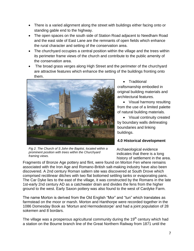- There is a varied alignment along the street with buildings either facing onto or standing gable end to the highway.
- The open spaces on the south side of Station Road adjacent to Needham Road and the east side of East Lane are the remnants of open fields which enhance the rural character and setting of the conservation area.
- The churchyard occupies a central position within the village and the trees within its perimeter frame views of the church and contribute to the public amenity of the conservation area.
- The broad grass verges along High Street and the perimeter of the churchyard are attractive features which enhance the setting of the buildings fronting onto them.



 Traditional craftsmanship embodied in original building materials and architectural features.

• Visual harmony resulting from the use of a limited palette of natural building materials.

• Visual continuity created by boundary walls delineating boundaries and linking buildings.

# **4.0 Historical development**

*Fig 2. The Church of S John the Baptist, located within a prominent position with trees within the Churchyard framing views.*

Archaeological evidence indicates that there is a long history of settlement in the area.

Fragments of Bronze Age pottery and flint, were found on Morton Fen where remains associated with the Iron Age and Romano-British salt-making industry have also been discovered. A 2nd century Roman saltern site was discovered at South Drove which comprised rectilinear ditches with two flat bottomed settling tanks or evaporating pans. The Car Dyke lies to the east of the village, it was constructed by the Romans in the late 1st-early 2nd century AD as a catchwater drain and divides the fens from the higher ground to the west. Early Saxon pottery was also found to the west of Cardyke Farm.

The name Morton is derived from the Old English "Mor" and "tun" which translates as farmstead on the moor or marsh. Morton and Hanthorpe were recorded together in the 1086 Domesday Book as "Mortun and Hermodestorpe" and had a joint population of 28 sokemen and 8 bordars.

The village was a prosperous agricultural community during the  $19<sup>th</sup>$  century which had a station on the Bourne branch line of the Great Northern Railway from 1871 until the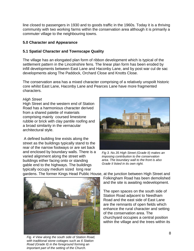line closed to passengers in 1930 and to goods traffic in the 1960s. Today it is a thriving community with two working farms within the conservation area although it is primarily a commuter village to the neighbouring towns.

#### **5.0 Character and Appearance**

## **5.1 Spatial Character and Townscape Quality**

The village has an elongated plan form of ribbon development which is typical of the settlement pattern in the Lincolnshire fens. The linear plan form has been eroded by infill developments between East Lane and Haconby Lane, and by post war cul de sac developments along The Paddock, Orchard Close and Knotts Close.

The conservation area has a mixed character comprising of a relatively unspoilt historic core whilst East Lane, Haconby Lane and Pearces Lane have more fragmented characters.

#### *High Street*

High Street and the western end of Station Road has a harmonious character derived from a shared palette of materials comprising mainly coursed limestone rubble or brick with clay pantile roofing and a broad similarity in the vernacular architectural style.

A defined building line exists along the street as the buildings typically stand to the rear of the narrow footways or are set back and enclosed by boundary walls. There is a varied alignment along the street with buildings either facing onto or standing gable end to the highways. The buildings typically occupy medium sized long rear



*Fig 3. No.35 High Street (Grade II) makes an imposing contribution to the conservation area. The boundary wall to the front is also Grade II listed in its own right.*



*Fig. 4 View along the south side of Station Road, with traditional stone cottages such as 6 Station Road (Grade II) in the foreground forming an important part of the setting of the Church.*

gardens. The former Kings Head Public House, at the junction between High Street and Folkingham Road has been demolished and the site is awaiting redevelopment.

> The open spaces on the south side of Station Road adjacent to Needham Road and the east side of East Lane are the remnants of open fields which enhance the rural character and setting of the conservation area. The churchyard occupies a central position within the village and the trees within its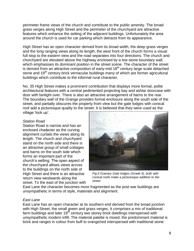perimeter frame views of the church and contribute to the public amenity. The broad grass verges along High Street and the perimeter of the churchyard are attractive features which enhance the setting of the adjacent buildings. Unfortunately the area around the church is used for car parking which detracts from its appearance.

High Street has an open character derived from its broad width, the deep grass verges and the long ranging views along its length; the west front of the church forms a visual full stop to the eastern view and the road separates into four directions. The church and churchyard are elevated above the highway enclosed by a low stone boundary wall, which emphasises its dominant position in the street scene. The character of the street is derived from an attractive composition of early-mid 18<sup>th</sup> century large scale detached stone and 19<sup>th</sup> century brick vernacular buildings many of which are former agricultural buildings which contribute to the informal rural character.

No. 35 High Street makes a prominent contribution that displays more formal, polite architectural features with a central pedimented projecting bay and ashlar doorcase with door with fanlight over. There is also an attractive arrangement of barns to the rear. The boundary wall of the Grange provides formal enclosure along the south side of the street, and partially obscures the property from view but the gate lodges with conical roof add a picturesque quality to the street. It is believed that they were used as the village 'lock up'.

#### *Station Road*

Station Road is narrow and has an enclosed character as the curving alignment curtails the views along its length. The church and churchyard stand on the north side and there is an attractive group of small cottages and barns on the south side which forms an important part of the church"s setting. The open aspect of the churchyard allows views across to the buildings on the north side of High Street and there is an attractive return view westwards along the street. To the east of the junction with



*Fig.5 Granary Gate lodges (Grade II), both with conical roofs make a picturesque addition to the street.* 

East Lane the character becomes more fragmented as the post war buildings are unsympathetic in terms of style, materials and alignment.

#### *East Lane*

East Lane has an open character at its southern end derived from the broad junction with High Street, the small green and grass verges. It comprises a mix of traditional farm buildings and later  $19<sup>th</sup>$  century two storey brick dwellings interspersed with unsympathetic modern infill. The material palette is mixed; the predominant material is brick and ranges in colour from buff to orange/red interspersed with traditional stone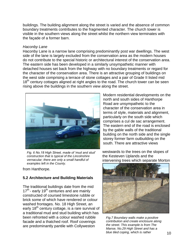buildings. The building alignment along the street is varied and the absence of common boundary treatments contributes to the fragmented character. The church tower is visible in the southern views along the street whilst the northern view terminates with the façade of a former barn.

#### *Haconby Lane*

Haconby Lane is a narrow lane comprising predominantly post war dwellings. The west side of the lane is largely excluded from the conservation area as the modern houses do not contribute to the special historic or architectural interest of the conservation area. The eastern side has been developed in a similarly unsympathetic manner with detached houses set back from the highway with no boundary treatments or regard for the character of the conservation area. There is an attractive grouping of buildings on the west side comprising a terrace of stone cottages and a pair of Grade II listed mid  $18<sup>th</sup>$  century cottages aligned at right angles to the road. The church tower can be seen rising above the buildings in the southern view along the street.



*Fig. 6 No.18 High Street, made of 'mud and stud' construction that is typical of the Lincolnshire vernacular; there are only a small handful of examples left in the County.* 

from Hanthorpe.

## **5.2 Architecture and Building Materials**

The traditional buildings date from the mid 17<sup>th</sup> - early 19<sup>th</sup> centuries and are mainly constructed of coursed limestone rubble or brick some of which have rendered or colour washed frontages. No. 18 High Street, an early 18<sup>th</sup> century cottage, is a rare survival of a traditional mud and stud building which has been refronted with a colour washed rubble facade and a thatched roof. Roof coverings are predominantly pantile with Collyweston

Modern residential developments on the north and south sides of Hanthorpe Road are unsympathetic to the character of the conservation area in terms of style, materials and alignment, particularly on the south side which comprises a cul de sac arrangement. The eastern end of the road is enclosed by the gable walls of the traditional building on the north side and the single storey former farm outbuilding on the south. There are attractive views

westwards to the trees on the slopes of the Kesteven Uplands and the intervening trees which separate Morton



*Fig.7 Boundary walls make a positive contribution and create enclosure along the street. This example is from The Manse, No.29 High Street and has a blue tiled coping, which is rather*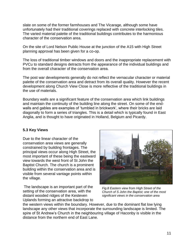slate on some of the former farmhouses and The Vicarage, although some have unfortunately had their traditional coverings replaced with concrete interlocking tiles. The varied material palette of the traditional buildings contributes to the harmonious character of the conservation area.

On the site of Lord Nelson Public House at the junction of the A15 with High Street planning approval has been given for a co-op.

The loss of traditional timber windows and doors and the inappropriate replacement with PVCu to standard designs detracts from the appearance of the individual buildings and from the overall character of the conservation area.

The post war developments generally do not reflect the vernacular character or material palette of the conservation area and detract from its overall quality. However the recent development along Church View Close is more reflective of the traditional buildings in the use of materials.

Boundary walls are a significant feature of the conservation area which link buildings and maintain the continuity of the building line along the street. On some of the endwalls and gables are examples of "tumbled in brickwork", where their bricks are laid diagonally to form a series of triangles. This is a detail which is typically found in East Anglia, and is thought to have originated in Holland, Belgium and Picardy.

## **5.3 Key Views**

Due to the linear character of the conservation area views are generally constrained by building frontages. The principal views occur along High Street, the most important of these being the eastward view towards the west front of St John the Baptist Church. The church is a prominent building within the conservation area and is visible from several vantage points within the village.

The landscape is an important part of the setting of the conservation area, with the distant wooded ridges of the Kesteven Uplands forming an attractive backdrop to



*Fig.8 Eastern view from High Street of the Church of S John the Baptist; one of the most significant views in the conservation area*

the western views within the boundary. However, due to the dominant flat low lying landscape any other views that incorporate the surrounding landscape is limited. The spire of St Andrew's Church in the neighbouring village of Haconby is visible in the distance from the northern end of East Lane.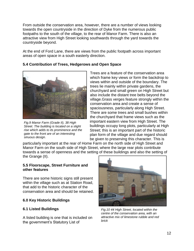From outside the conservation area, however, there are a number of views looking towards the open countryside in the direction of Dyke from the numerous public footpaths to the south of the village, to the rear of Manor Farm. There is also an attractive view from High Street looking southwards through the yard towards the countryside beyond.

At the end of Ford Lane, there are views from the public footpath across important areas of open space in a south easterly direction.

## **5.4 Contribution of Trees, Hedgerows and Open Space**



*Fig.9 Manor Farm (Grade II), 38 High Street. The building is located on a slight rise which adds to its prominence and the gate to the front are of an interesting sinuous design.*

Trees are a feature of the conservation area which frame key views or form the backdrop to views within and outside of the boundary. The trees lie mainly within private gardens, the churchyard and small green on High Street but also include the distant tree belts beyond the village.Grass verges feature strongly within the conservation area and create a sense of spaciousness, particularly along High Street. There are some trees and small bushes within the churchyard that frame views such as the important eastern view from High Street. The buildings occupy long plots, particularly at High Street; this is an important part of the historic plan form of the village and due regard should be given to preserving this character. This is

particularly important at the rear of Home Farm on the north side of High Street and Manor Farm on the south side of High Street, where the large rear plots contribute towards a sense of openness and the setting of these buildings and also the setting of the Grange (II).

#### **5.5 Floorscape, Street Furniture and other features**

There are some historic signs still present within the village such as at Station Road, that add to the historic character of the conservation area and should be retained.

## **6.0 Key Historic Buildings**

# **6.1 Listed Buildings**

A listed building is one that is included on the government"s Statutory List of



*Fig.10 44 High Street, located within the centre of the conservation area, with an attractive mix of limestone rubble and red brick*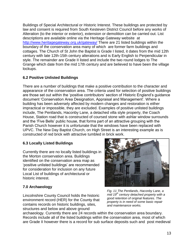Buildings of Special Architectural or Historic Interest. These buildings are protected by law and consent is required from South Kesteven District Council before any works of Alteration (to the interior or exterior), extension or demolition can be carried out. List descriptions are available online via the Heritage Gateway website at <http://www.heritagegateway.org.uk/gateway/> There are 21 listed buildings within the boundary of the conservation area many of which are former farm buildings and cottages. The Church of St John the Baptist is Grade I listed, it dates from the mid 12th century with late 12th-15th century alterations and is Early English to Perpendicular in style. The remainder are Grade II listed and include the two round lodges to The Grange which date from the mid 17th century and are believed to have been the village lockups.

# **6.2 Positive Unlisted Buildings**

There are a number of buildings that make a positive contribution to the character and appearance of the conservation area. The criteria used for selection of positive buildings are those set out within the "positive contributors" section of Historic England"s guidance document "Conservation Area Designation, Appraisal and Management". Where a building has been adversely affected by modern changes and restoration is either impractical or impossible, they are excluded. Examples of positive unlisted buildings include, The Pentlands, Haconby Lane, a detached villa style property, the Coach House, Station road that is constructed of coursed stone with ashlar window surrounds and the "Five Bells" public house, that forms part of an attractive grouping with the Parish Church however it is unfortunate that the windows have been replaced with UPVC. The New Day Baptist Church, on High Street is an interesting example as is constructed of red brick with attractive tumbled in brick work.

# **6.3 Locally Listed Buildings**

Currently there are no locally listed buildings in the Morton conservation area. Buildings identified on the conservation area map as "positive unlisted buildings" are recommended for consideration for inclusion on any future Local List of buildings of architectural or historic interest.

# **7.0 Archaeology**

Lincolnshire County Council holds the historic environment record (HER) for the County that contains records on historic buildings, sites, structures and below and above ground



*Fig. 11 The Pentlands, Haconby Lane, a mid 19th century detached property with a good retention of original features. The property is in need of some basic repair and maintenance works.* 

archaeology. Currently there are 24 records within the conservation area boundary. Records include all of the listed buildings within the conservation area, most of which are Grade II however there is a record for sub surface deposits such and post medieval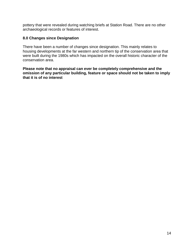pottery that were revealed during watching briefs at Station Road. There are no other archaeological records or features of interest.

#### **8.0 Changes since Designation**

There have been a number of changes since designation. This mainly relates to housing developments at the far western and northern tip of the conservation area that were built during the 1980s which has impacted on the overall historic character of the conservation area.

**Please note that no appraisal can ever be completely comprehensive and the omission of any particular building, feature or space should not be taken to imply that it is of no interest**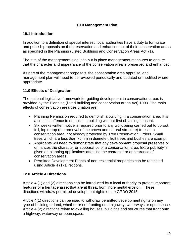## **10.0 Management Plan**

## **10.1 Introduction**

In addition to a definition of special interest, local authorities have a duty to formulate and publish proposals on the preservation and enhancement of their conservation areas as specified in the Planning (Listed Buildings and Conservation Areas Act:71).

The aim of the management plan is to put in place management measures to ensure that the character and appearance of the conservation area is preserved and enhanced.

As part of the management proposals, the conservation area appraisal and management plan will need to be reviewed periodically and updated or modified where appropriate.

# **11.0 Effects of Designation**

The national legislative framework for guiding development in conservation areas is provided by the Planning (listed building and conservation areas Act) 1990. The main effects of conservation area designation are:

- Planning Permission required to demolish a building in a conservation area. It is a criminal offence to demolish a building without first obtaining consent.
- Six weeks written notice is required prior to any work being carried out to uproot, fell, lop or top (the removal of the crown and natural structure) trees in a conservation area, not already protected by Tree Preservation Orders. Small trees which are less than 75mm in diameter, fruit trees and bushes are exempt.
- Applicants will need to demonstrate that any development proposal preserves or enhances the character or appearance of a conservation area. Extra publicity is given on planning applications affecting the character or appearance of conservation areas.
- Permitted Development Rights of non residential properties can be restricted using Article 4 (1) Directions.

# **12.0 Article 4 Directions**

Article 4 (1) and (2) directions can be introduced by a local authority to protect important features of a heritage asset that are at threat from incremental erosion. These directions withdraw permitted development rights of the GPDO 2015.

Article 4(1) directions can be used to withdraw permitted development rights on any type of building or land, whether or not fronting onto highway, waterways or open space. Article 4 (2) directions relate to dwelling houses, buildings and structures that front onto a highway, waterway or open space.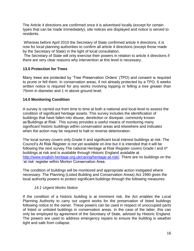The Article 4 directions are confirmed once it is advertised locally (except for certain types that can be made immediately), site notices are displayed and notice is served to residents.

Whereas before April 2010 the Secretary of State confirmed article 4 directions, it is now for local planning authorities to confirm all article 4 directions (except those made by the Secretary of State) in the light of local consultation.

The Secretary of State will only exercise their powers in relation to article 4 directions if there are very clear reasons why intervention at this level is necessary.

## **13.0 Protection for Trees**

Many trees are protected by "Tree Preservation Orders" (TPO) and consent is required to prune or fell them. In conservation areas, if not already protected by a TPO, 6 weeks written notice is required for any works involving lopping or felling a tree greater than 75mm in diameter and 1 m above ground level.

## **14.0 Monitoring Condition**

A survey is carried out from time to time at both a national and local level to assess the condition of significant heritage assets. This survey includes the identification of buildings that have fallen into disuse, dereliction or disrepair, commonly known as"Buildings at Risk". This survey provides a useful means of monitoring many significant historic buildings within conservation areas and elsewhere and indicates when the action may be required to halt or reverse deterioration.

The local survey covers only Grade II and significant local interest buildings at risk. The Council"s At Risk Register is not yet available on-line but it is intended that it will be following the next survey.The national Heritage at Risk Register covers Grade I and II\* buildings at risk and is available through Historic England available at [http://www.english-heritage.org.uk/caring/heritage-at-risk/.](http://www.english-heritage.org.uk/caring/heritage-at-risk/) There are no buildings on the 'at risk' register within Morton Conservation Area.

The condition of buildings will be monitored and appropriate action instigated where necessary. The Planning (Listed Building and Conservation Areas) Act 1990 gives the local authority powers to protect significant buildings through the following measures:

## *14.1 Urgent Works Notice*

If the condition of a historic building is at imminent risk, the Act enables the Local Planning Authority to carry out urgent works for the preservation of listed buildings following notice to the owner. These powers can be used in respect of unoccupied parts of listed or unlisted buildings in conservation areas. In the case of the latter, this can only be employed by agreement of the Secretary of State, advised by Historic England. The powers are used to address emergency repairs to ensure the building is weather tight and safe from collapse.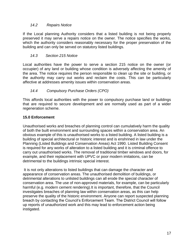#### *14.2 Repairs Notice*

If the Local planning Authority considers that a listed building is not being properly preserved it may serve a repairs notice on the owner. The notice specifies the works, which the authority considers reasonably necessary for the proper preservation of the building and can only be served on statutory listed buildings.

## *14.3 Section 215 Notice*

Local authorities have the power to serve a section 215 notice on the owner (or occupier) of any land or building whose condition is adversely affecting the amenity of the area. The notice requires the person responsible to clean up the site or building, or the authority may carry out works and reclaim the costs. This can be particularly affective at addresses amenity issues within conservation areas.

# *14.4 Compulsory Purchase Orders (CPO)*

This affords local authorities with the power to compulsory purchase land or buildings that are required to secure development and are normally used as part of a wider regeneration scheme.

## **15.0 Enforcement**

Unauthorised works and breaches of planning control can cumulatively harm the quality of both the built environment and surrounding spaces within a conservation area. An obvious example of this is unauthorised works to a listed building. A listed building is a building of special architectural or historic interest and is enshrined in law under the Planning (Listed Buildings and Conservation Areas) Act 1990. Listed Building Consent is required for any works of alteration to a listed building and it is criminal offence to carry out unauthorised works. The removal of traditional timber windows and doors, for example, and their replacement with UPVC or poor modern imitations, can be detrimental to the buildings intrinsic special interest.

It is not only alterations to listed buildings that can damage the character and appearance of conservation areas. The unauthorised demolition of buildings, or detrimental alterations to unlisted buildings can all erode the special character of conservation area. The use of non-approved materials, for example, can be particularly harmful (e.g. modern cement rendering).It is important, therefore, that the Council investigates breaches of planning law within conservation areas, as this can help preserve the quality of the historic environment. Anyone can report suspected planning breach by contacting the Council"s Enforcement Team. The District Council will follow up reports of unauthorized work and this may lead to enforcement action being instigated.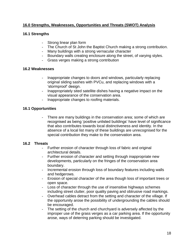## **16.0 Strengths, Weaknesses, Opportunities and Threats (SWOT) Analysis**

#### **16.1 Strengths**

- Strong linear plan form
- The Church of St John the Baptist Church making a strong contribution.
- Many buildings with a strong vernacular character
- Boundary walls creating enclosure along the street, of varying styles.
- Grass verges making a strong contribution

#### **16.2 Weaknesses**

- Inappropriate changes to doors and windows, particularly replacing original sliding sashes with PVCu, and replacing windows with a "stormproof" design.
- Inappropriately sited satellite dishes having a negative impact on the visual appearance of the conservation area.
- Inappropriate changes to roofing materials.

## **16.1 Opportunities**

- There are many buildings in the conservation area; some of which are recognised as being "positive unlisted buildings" have level of significance that also contributes towards local distinctiveness and identity. In the absence of a local list many of these buildings are unrecognised for the special contribution they make to the conservation area.

#### **16.2 Threats**

- Further erosion of character through loss of fabric and original architectural details.
- Further erosion of character and setting through inappropriate new developments, particularly on the fringes of the conservation area boundary.
- Incremental erosion through loss of boundary features including walls and hedgerows.
- Erosion of special character of the area though loss of important trees or open space.
- Loss of character through the use of insensitive highways schemes including street clutter, poor quality paving and obtrusive road markings.
- Overhead cables detract from the setting and character of the village. If the opportunity arose the possibility of undergrounding the cables should be encouraged.
- The setting of the church and churchyard is adversely affected by the improper use of the grass verges as a car parking area. If the opportunity arose, ways of deterring parking should be investigated.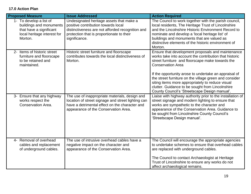# **17.0 Action Plan**

| <b>Proposed Measure</b>                                                                                                 | <b>Issue Addressed</b>                                                                                                                                                                            | <b>Action Required</b>                                                                                                                                                                                                                                                                                                                                                                                                                                                  |
|-------------------------------------------------------------------------------------------------------------------------|---------------------------------------------------------------------------------------------------------------------------------------------------------------------------------------------------|-------------------------------------------------------------------------------------------------------------------------------------------------------------------------------------------------------------------------------------------------------------------------------------------------------------------------------------------------------------------------------------------------------------------------------------------------------------------------|
| 1- To develop a list of<br>buildings and monuments<br>that have a significant<br>local heritage interest for<br>Morton. | Undesignated heritage assets that make a<br>positive contribution towards local<br>distinctiveness are not afforded recognition and<br>protection that is proportionate to their<br>significance. | The Council to work together with the parish council,<br>local residents, The Heritage Trust of Lincolnshire<br>and the Lincolnshire Historic Environment Record to<br>nominate and develop a 'local heritage list' of<br>buildings and monuments that are valued as<br>distinctive elements of the historic environment of<br>Morton.                                                                                                                                  |
| 2- Items of historic street<br>furniture and floorscape<br>to be retained and<br>maintained.                            | Historic street furniture and floorscape<br>contributes towards the local distinctiveness of<br>Morton.                                                                                           | Ensure that development proposals and maintenance<br>works take into account the contribution that historic<br>street furniture and floorscape make towards the<br><b>Conservation Area</b><br>If the opportunity arose to undertake an appraisal of<br>the street furniture on the village green and consider<br>siting items more appropriately to reduce visual<br>clutter. Guidance to be sought from Lincolnshire<br>County Council's 'Streetscape Design manual'. |
| 3- Ensure that any highway<br>works respect the<br>Conservation Area.                                                   | The use of inappropriate materials, design and<br>location of street signage and street lighting can<br>have a detrimental effect on the character and<br>appearance of the Conservation Area.    | Liaise with highway authority prior to the installation of<br>street signage and modern lighting to ensure that<br>works are sympathetic to the character and<br>appearance of the Conservation Area. Guidance to<br>be sought from Lincolnshire County Council's<br>'Streetscape Design manual'.                                                                                                                                                                       |
| 4- Removal of overhead<br>cables and replacement<br>of underground cables.                                              | The use of intrusive overhead cables have a<br>negative impact on the character and<br>appearance of the Conservation Area.                                                                       | The Council will encourage the appropriate agencies<br>to undertake schemes to ensure that overhead cables<br>are replaced with underground cables.<br>The Council to contact Archaeologist at Heritage<br>Trust of Lincolnshire to ensure any works do not<br>affect archaeological remains.                                                                                                                                                                           |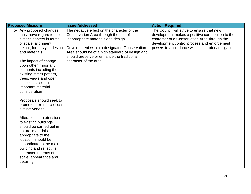| <b>Proposed Measure</b><br><b>Issue Addressed</b>                                                                                                                                                                                                                                                                                                                                                                                                                                                                                                                                                                                                                                                                                                                                                                                                                                                                                                                                                                     | <b>Action Required</b>                                                                                                                                                                                                                                |
|-----------------------------------------------------------------------------------------------------------------------------------------------------------------------------------------------------------------------------------------------------------------------------------------------------------------------------------------------------------------------------------------------------------------------------------------------------------------------------------------------------------------------------------------------------------------------------------------------------------------------------------------------------------------------------------------------------------------------------------------------------------------------------------------------------------------------------------------------------------------------------------------------------------------------------------------------------------------------------------------------------------------------|-------------------------------------------------------------------------------------------------------------------------------------------------------------------------------------------------------------------------------------------------------|
| 5- Any proposed changes<br>The negative effect on the character of the<br>must have regard to the<br>Conservation Area through the use of<br>historic context in terms<br>inappropriate materials and design.<br>of scale, alignment,<br>height, form, style, design<br>Development within a designated Conservation<br>and materials.<br>Area should be of a high standard of design and<br>should preserve or enhance the traditional<br>character of the area.<br>The impact of change<br>upon other important<br>elements including the<br>existing street pattern,<br>trees, views and open<br>spaces is also an<br>important material<br>consideration.<br>Proposals should seek to<br>promote or reinforce local<br>distinctiveness<br>Alterations or extensions<br>to existing buildings<br>should be carried out in<br>natural materials<br>appropriate to the<br>location, should be<br>subordinate to the main<br>building and reflect its<br>character in terms of<br>scale, appearance and<br>detailing. | The Council will strive to ensure that new<br>development makes a positive contribution to the<br>character of a Conservation Area through the<br>development control process and enforcement<br>powers in accordance with its statutory obligations. |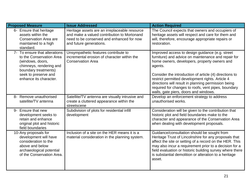| <b>Proposed Measure</b>                                                                                                                                                            | <b>Issue Addressed</b>                                                                                                                                               | <b>Action Required</b>                                                                                                                                                                                                                                                                                                                                                                                                                 |
|------------------------------------------------------------------------------------------------------------------------------------------------------------------------------------|----------------------------------------------------------------------------------------------------------------------------------------------------------------------|----------------------------------------------------------------------------------------------------------------------------------------------------------------------------------------------------------------------------------------------------------------------------------------------------------------------------------------------------------------------------------------------------------------------------------------|
| 6- Ensure that heritage<br>assets within the<br><b>Conservation Area are</b><br>maintained to a high<br>standard.                                                                  | Heritage assets are an irreplaceable resource<br>and make a valued contribution to Mortonand<br>need to be conserved and enhanced for now<br>and future generations. | The Council expects that owners and occupiers of<br>heritage assets will respect and care for them and<br>will, therefore, encourage appropriate repairs or<br>restoration.                                                                                                                                                                                                                                                            |
| 7- To ensure that alterations<br>to the Conservation Area<br>(windows, doors,<br>chimneys, rendering and<br>boundary treatments)<br>seek to preserve and<br>enhance its character. | Unsympathetic features contribute to<br>incremental erosion of character within the<br><b>Conservation Area</b>                                                      | Improved access to design guidance (e.g. street<br>furniture) and advice on maintenance and repair for<br>home owners, developers, property owners and<br>agents.<br>Consider the introduction of article (4) directions to<br>restrict permitted development rights. Article 4<br>directions will result in planning permission being<br>required for changes to roofs, vent pipes, boundary<br>walls, gate piers, doors and windows. |
| 8- Remove unauthorised<br>satellite/TV antenna                                                                                                                                     | Satellite/TV antenna are visually intrusive and<br>create a cluttered appearance within the<br>streetscene                                                           | Develop an enforcement strategy to address<br>unauthorised works.                                                                                                                                                                                                                                                                                                                                                                      |
| 9- Ensure that new<br>development seeks to<br>retain and enhance<br>original plot and historic<br>field boundaries                                                                 | Subdivision of plots for residential infill<br>development                                                                                                           | Consideration will be given to the contribution that<br>historic plot and field boundaries make to the<br>character and appearance of the Conservation Area<br>when dealing with development proposals.                                                                                                                                                                                                                                |
| 10-Any proposals for<br>development will have<br>consideration to the<br>above and below<br>archaeological potential<br>of the Conservation Area.                                  | Inclusion of a site on the HER means it is a<br>material consideration in the planning system.                                                                       | Guidance/consultation should be sought from<br>Heritage Trust of Lincolnshire for any proposals that<br>affect the site or setting of a record on the HER. This<br>may also incur a requirement prior to a decision for a<br>field evaluation or historic building survey where there<br>is substantial demolition or alteration to a heritage<br>asset.                                                                               |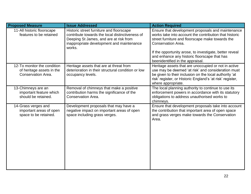| <b>Proposed Measure</b>                                                        | <b>Issue Addressed</b>                                                                                                                                                                       | <b>Action Required</b>                                                                                                                                                                                                                                  |
|--------------------------------------------------------------------------------|----------------------------------------------------------------------------------------------------------------------------------------------------------------------------------------------|---------------------------------------------------------------------------------------------------------------------------------------------------------------------------------------------------------------------------------------------------------|
| 11-All historic floorscape<br>features to be retained                          | Historic street furniture and floorscape<br>contribute towards the local distinctiveness of<br>Deeping St James, and are at risk from<br>inappropriate development and maintenance<br>works. | Ensure that development proposals and maintenance<br>works take into account the contribution that historic<br>street furniture and floorscape make towards the<br><b>Conservation Area.</b><br>If the opportunity arose, to investigate, better reveal |
|                                                                                |                                                                                                                                                                                              | and enhance any historic floorscape that has<br>beenidentified in the appraisal.                                                                                                                                                                        |
| 12-To monitor the condition<br>of heritage assets in the<br>Conservation Area. | Heritage assets that are at threat from<br>deterioration in their structural condition or low<br>occupancy levels.                                                                           | Heritage assets that are unoccupied or not in active<br>use may be deemed 'at risk' and consideration must<br>be given to their inclusion on the local authority 'at<br>risk' register, or Historic England's 'at risk' register,<br>where appropriate. |
| 13-Chimneys are an<br>important feature which<br>should be retained.           | Removal of chimneys that make a positive<br>contribution harms the significance of the<br>Conservation Area.                                                                                 | The local planning authority to continue to use its<br>enforcement powers in accordance with its statutory<br>obligations to address unauthorised works to<br>chimneys.                                                                                 |
| 14-Grass verges and<br>important areas of open<br>space to be retained.        | Development proposals that may have a<br>negative impact on important areas of open<br>space including grass verges.                                                                         | Ensure that development proposals take into account<br>the contribution that important area of open space<br>and grass verges make towards the Conservation<br>Area.                                                                                    |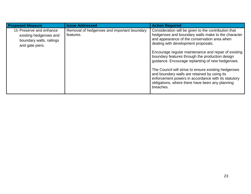| <b>Proposed Measure</b>                                                                           | <b>Issue Addressed</b>                                   | <b>Action Required</b>                                                                                                                                                                                                                                                                                                                                                                                                                                                                                                                                                                          |
|---------------------------------------------------------------------------------------------------|----------------------------------------------------------|-------------------------------------------------------------------------------------------------------------------------------------------------------------------------------------------------------------------------------------------------------------------------------------------------------------------------------------------------------------------------------------------------------------------------------------------------------------------------------------------------------------------------------------------------------------------------------------------------|
| 15- Preserve and enhance<br>existing hedgerows and<br>boundary walls, railings<br>and gate piers. | Removal of hedgerows and important boundary<br>features. | Consideration will be given to the contribution that<br>hedgerows and boundary walls make to the character<br>and appearance of the conservation area when<br>dealing with development proposals.<br>Encourage regular maintenance and repair of existing<br>boundary features through the production design<br>guidance. Encourage replanting of new hedgerows.<br>The Council will strive to ensure existing hedgerows<br>and boundary walls are retained by using its<br>enforcement powers in accordance with its statutory<br>obligations, where there have been any planning<br>breaches. |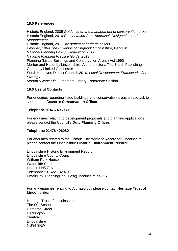#### **18.0 References**

Historic England, 2005 *Guidance on the management of conservation areas* Historic England, 2016 *Conservation Area Appraisal, Designation and Management*  Historic England, 2011*The setting of heritage assets* Pevsner, 1964 *The Buildings of England: Lincolnshire*, Penguin *National Planning Policy Framework, 2012 National Planning Practice Guide, 2013* Planning (Listed Buildings and Conservation Areas) Act 1990 Morton and Haconby Lincolnshire, A short history, The British Publishing Company Limited Gloucester South Kesteven District Council. 2010. *Local Development Framework: Core Strategy Morton Village File*, Grantham Library, Reference Section

#### **19.0 Useful Contacts**

For enquiries regarding listed buildings and conservation areas please ask to speak to theCouncil"s **Conservation Officer:**

#### **Telephone 01476 406080**

For enquiries relating to development proposals and planning applications please contact the Council"s **Duty Planning Officer:**

#### **Telephone 01476 406080**

For enquiries related to the Historic Environment Record for Lincolnshire please contact the Lincolnshire **Historic Environment Record**:

Lincolnshire Historic Environment Record Lincolnshire County Council Witham Park House Waterside South Lincoln LN5 7JN Telephone: 01522 782070 Email[:Dev\\_PlanningEnquiries@lincolnshire.gov.uk](mailto:Dev_PlanningEnquiries@lincolnshire.gov.uk)

For any enquiries relating to Archaeology please contact **Heritage Trust of Lincolnshire:**

Heritage Trust of Lincolnshire The Old School Cameron Street **Heckington Sleaford Lincolnshire** NG34 9RW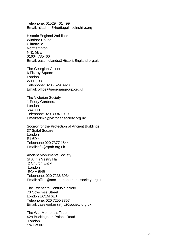Telephone : 01529 461 499 Email: [htladmin@heritagelincolnshire.org](mailto:htladmin@heritagelincolnshire.org)

Historic England 2nd floor Windsor House **Cliftonville Northampton** NN1 5BE 01604 735460 Email: [eastmidlands@HistoricEngland.org.uk](mailto:eastmidlands@HistoricEngland.org.uk)

The Georgian Group 6 Fitzroy Square London W1T 5DX Telephone : 020 7529 8920 Email: [office@georgiangroup.org.uk](mailto:office@georgiangroup.org.uk)

The Victorian Society, 1 Priory Gardens, London W4 1TT Telephone 020 8994 1019 Email [:admin@victoriansociety.org.uk](mailto:admin@victoriansociety.org.uk)

Society for the Protection of Ancient Buildings 37 Spital Square London E1 6DY Telephone 020 7377 1644 Email [:info@spab.org.uk](mailto:info@spab.org.uk)

Ancient Monuments Society St Ann's Vestry Hall 2 Church Entry London EC4V 5HB Telephone: 020 7236 3934 Email: office@ancientmonumentssociety.org.uk

The Twentieth Century Society 70 Cowcross Street London EC1M 6EJ Telephone: 020 7250 3857 Email: [caseworker \(at\) c20society.org.uk](mailto:caseworker@c20society.org.uk)

The War Memorials Trust 42a Buckingham Palace Road London SW1W 0RE